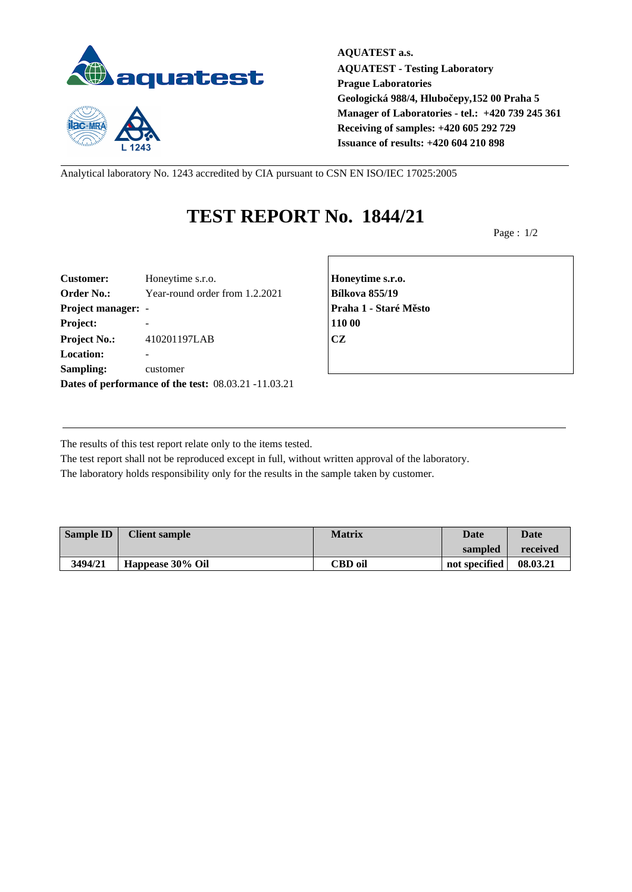

 $1243$ 

**AQUATEST a.s. AQUATEST - Testing Laboratory Prague Laboratories Geologická 988/4, Hlubočepy,152 00 Praha 5 Manager of Laboratories - tel.: +420 739 245 361 Receiving of samples: +420 605 292 729 Issuance of results: +420 604 210 898**

Analytical laboratory No. 1243 accredited by CIA pursuant to CSN EN ISO/IEC 17025:2005

## **TEST REPORT No. 1844/21**

Page : 1/2

| <b>Customer:</b>          | Honeytime s.r.o.                                     | Honey         |
|---------------------------|------------------------------------------------------|---------------|
| <b>Order No.:</b>         | Year-round order from 1.2.2021                       | <b>Bílkov</b> |
| <b>Project manager: -</b> |                                                      | Praha         |
| Project:                  |                                                      | 110 00        |
| <b>Project No.:</b>       | 410201197LAB                                         | <b>CZ</b>     |
| <b>Location:</b>          |                                                      |               |
| Sampling:                 | customer                                             |               |
|                           | Dates of performance of the test: 08.03.21 -11.03.21 |               |

**Customer:** Honeytime s.r.o. **Honeytime s.r.o. Order No.:** Year-round order from 1.2.2021 **Bílkova 855/19 Project manager:** - **Praha 1 - Staré Město**

The results of this test report relate only to the items tested.

The test report shall not be reproduced except in full, without written approval of the laboratory. The laboratory holds responsibility only for the results in the sample taken by customer.

| <b>Sample ID</b> | <b>Client sample</b> | <b>Matrix</b>  | Date          | <b>Date</b> |
|------------------|----------------------|----------------|---------------|-------------|
|                  |                      |                | sampled       | received    |
| 3494/21          | Happease 30% Oil     | <b>CBD</b> oil | not specified | 08.03.21    |